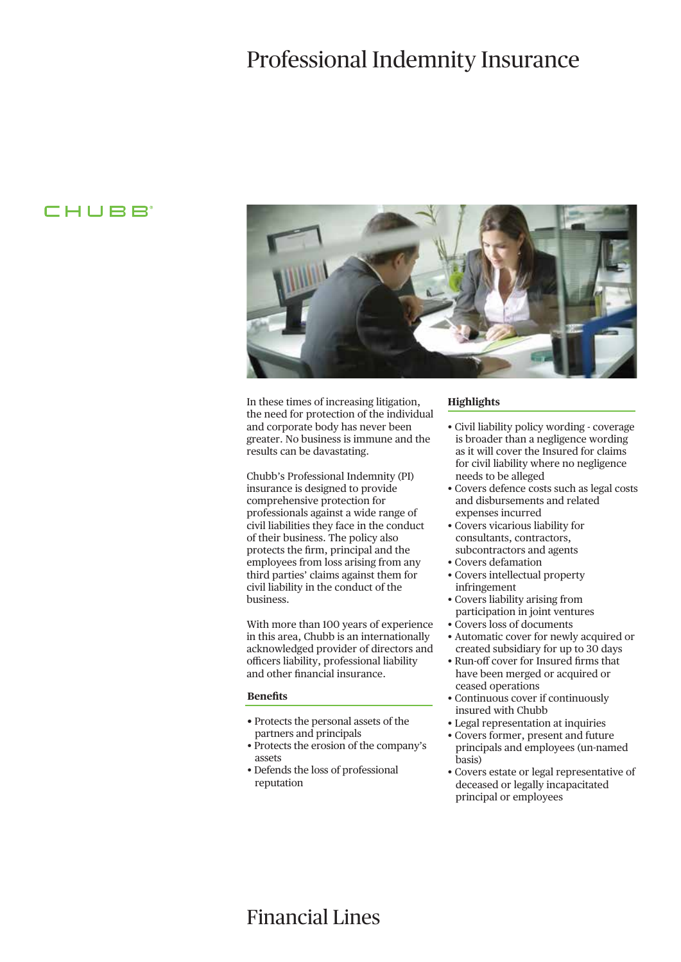# Professional Indemnity Insurance

## CHUBB<sup>®</sup>



In these times of increasing litigation, the need for protection of the individual and corporate body has never been greater. No business is immune and the results can be davastating.

Chubb's Professional Indemnity (PI) insurance is designed to provide comprehensive protection for professionals against a wide range of civil liabilities they face in the conduct of their business. The policy also protects the firm, principal and the employees from loss arising from any third parties' claims against them for civil liability in the conduct of the business.

With more than 100 years of experience in this area, Chubb is an internationally acknowledged provider of directors and officers liability, professional liability and other financial insurance.

### **Benefits**

- Protects the personal assets of the partners and principals
- Protects the erosion of the company's assets
- Defends the loss of professional reputation

### **Highlights**

- Civil liability policy wording coverage is broader than a negligence wording as it will cover the Insured for claims for civil liability where no negligence needs to be alleged
- Covers defence costs such as legal costs and disbursements and related expenses incurred
- Covers vicarious liability for consultants, contractors, subcontractors and agents
- Covers defamation
- Covers intellectual property infringement
- Covers liability arising from participation in joint ventures
- Covers loss of documents
- Automatic cover for newly acquired or created subsidiary for up to 30 days
- Run-off cover for Insured firms that have been merged or acquired or ceased operations
- Continuous cover if continuously insured with Chubb
- Legal representation at inquiries
- Covers former, present and future principals and employees (un-named basis)
- Covers estate or legal representative of deceased or legally incapacitated principal or employees

## Financial Lines